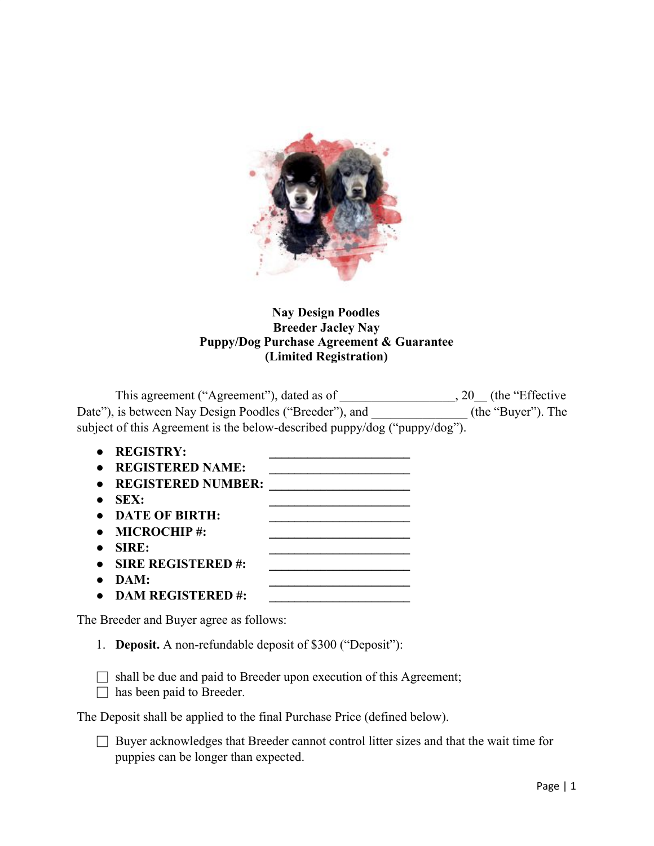

## **Nay Design Poodles Breeder Jacley Nay Puppy/Dog Purchase Agreement & Guarantee (Limited Registration)**

This agreement ("Agreement"), dated as of \_\_\_\_\_\_\_\_\_\_\_\_\_\_\_\_\_, 20 \_\_ (the "Effective Date"), is between Nay Design Poodles ("Breeder"), and \_\_\_\_\_\_\_\_\_\_\_\_\_\_\_(the "Buyer"). The subject of this Agreement is the below-described puppy/dog ("puppy/dog").

- **● REGISTRY: \_\_\_\_\_\_\_\_\_\_\_\_\_\_\_\_\_\_\_\_\_\_**
- **● REGISTERED NAME: \_\_\_\_\_\_\_\_\_\_\_\_\_\_\_\_\_\_\_\_\_\_**
- **● REGISTERED NUMBER: \_\_\_\_\_\_\_\_\_\_\_\_\_\_\_\_\_\_\_\_\_\_**
- **● SEX: \_\_\_\_\_\_\_\_\_\_\_\_\_\_\_\_\_\_\_\_\_\_**
- **● DATE OF BIRTH: \_\_\_\_\_\_\_\_\_\_\_\_\_\_\_\_\_\_\_\_\_\_**
- **● MICROCHIP #: \_\_\_\_\_\_\_\_\_\_\_\_\_\_\_\_\_\_\_\_\_\_**
- **● SIRE: \_\_\_\_\_\_\_\_\_\_\_\_\_\_\_\_\_\_\_\_\_\_**
- **● SIRE REGISTERED #: \_\_\_\_\_\_\_\_\_\_\_\_\_\_\_\_\_\_\_\_\_\_**
- **● DAM: \_\_\_\_\_\_\_\_\_\_\_\_\_\_\_\_\_\_\_\_\_\_**
- **DAM REGISTERED #: \_\_\_\_\_\_\_\_\_\_\_\_\_\_\_\_\_\_\_\_\_\_**

The Breeder and Buyer agree as follows:

1. **Deposit.** A non-refundable deposit of \$300 ("Deposit"):

 $\Box$  shall be due and paid to Breeder upon execution of this Agreement;

 $\Box$  has been paid to Breeder.

The Deposit shall be applied to the final Purchase Price (defined below).

□ Buyer acknowledges that Breeder cannot control litter sizes and that the wait time for puppies can be longer than expected.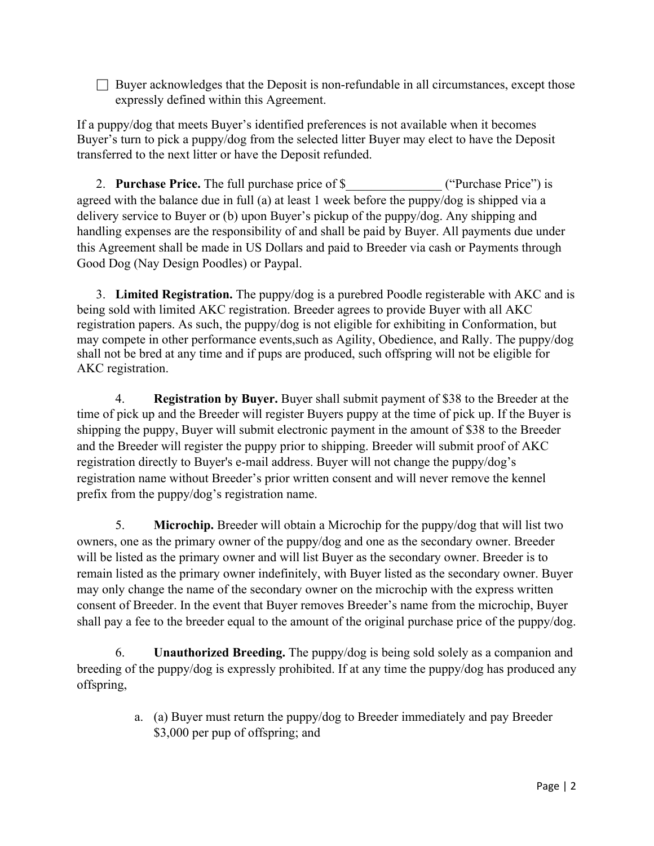$\Box$  Buyer acknowledges that the Deposit is non-refundable in all circumstances, except those expressly defined within this Agreement.

If a puppy/dog that meets Buyer's identified preferences is not available when it becomes Buyer's turn to pick a puppy/dog from the selected litter Buyer may elect to have the Deposit transferred to the next litter or have the Deposit refunded.

2. **Purchase Price.** The full purchase price of \$  $($  ("Purchase Price") is agreed with the balance due in full (a) at least 1 week before the puppy/dog is shipped via a delivery service to Buyer or (b) upon Buyer's pickup of the puppy/dog. Any shipping and handling expenses are the responsibility of and shall be paid by Buyer. All payments due under this Agreement shall be made in US Dollars and paid to Breeder via cash or Payments through Good Dog (Nay Design Poodles) or Paypal.

3. **Limited Registration.** The puppy/dog is a purebred Poodle registerable with AKC and is being sold with limited AKC registration. Breeder agrees to provide Buyer with all AKC registration papers. As such, the puppy/dog is not eligible for exhibiting in Conformation, but may compete in other performance events,such as Agility, Obedience, and Rally. The puppy/dog shall not be bred at any time and if pups are produced, such offspring will not be eligible for AKC registration.

4. **Registration by Buyer.** Buyer shall submit payment of \$38 to the Breeder at the time of pick up and the Breeder will register Buyers puppy at the time of pick up. If the Buyer is shipping the puppy, Buyer will submit electronic payment in the amount of \$38 to the Breeder and the Breeder will register the puppy prior to shipping. Breeder will submit proof of AKC registration directly to Buyer's e-mail address. Buyer will not change the puppy/dog's registration name without Breeder's prior written consent and will never remove the kennel prefix from the puppy/dog's registration name.

5. **Microchip.** Breeder will obtain a Microchip for the puppy/dog that will list two owners, one as the primary owner of the puppy/dog and one as the secondary owner. Breeder will be listed as the primary owner and will list Buyer as the secondary owner. Breeder is to remain listed as the primary owner indefinitely, with Buyer listed as the secondary owner. Buyer may only change the name of the secondary owner on the microchip with the express written consent of Breeder. In the event that Buyer removes Breeder's name from the microchip, Buyer shall pay a fee to the breeder equal to the amount of the original purchase price of the puppy/dog.

6. **Unauthorized Breeding.** The puppy/dog is being sold solely as a companion and breeding of the puppy/dog is expressly prohibited. If at any time the puppy/dog has produced any offspring,

> a. (a) Buyer must return the puppy/dog to Breeder immediately and pay Breeder \$3,000 per pup of offspring; and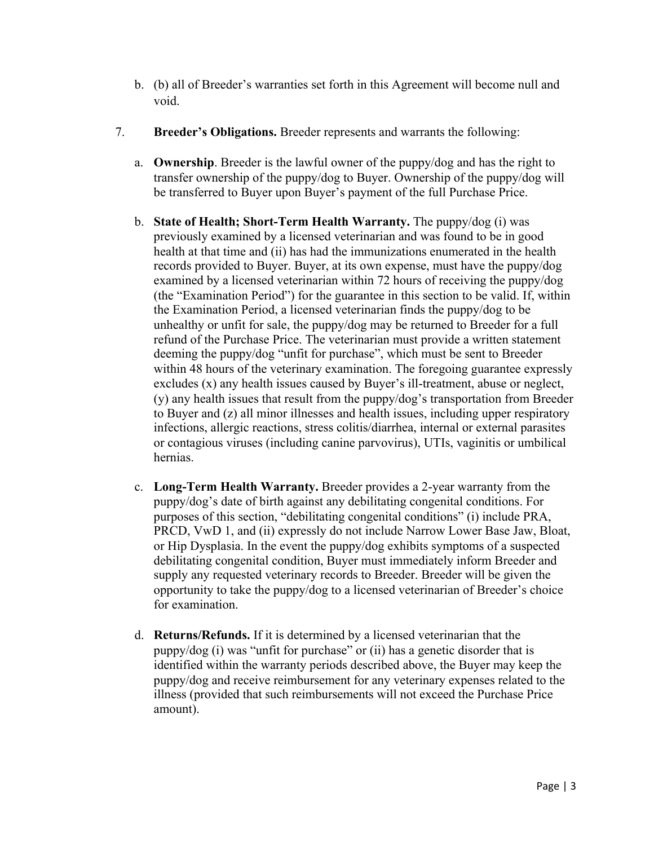- b. (b) all of Breeder's warranties set forth in this Agreement will become null and void.
- 7. **Breeder's Obligations.** Breeder represents and warrants the following:
	- a. **Ownership**. Breeder is the lawful owner of the puppy/dog and has the right to transfer ownership of the puppy/dog to Buyer. Ownership of the puppy/dog will be transferred to Buyer upon Buyer's payment of the full Purchase Price.
	- b. **State of Health; Short-Term Health Warranty.** The puppy/dog (i) was previously examined by a licensed veterinarian and was found to be in good health at that time and (ii) has had the immunizations enumerated in the health records provided to Buyer. Buyer, at its own expense, must have the puppy/dog examined by a licensed veterinarian within 72 hours of receiving the puppy/dog (the "Examination Period") for the guarantee in this section to be valid. If, within the Examination Period, a licensed veterinarian finds the puppy/dog to be unhealthy or unfit for sale, the puppy/dog may be returned to Breeder for a full refund of the Purchase Price. The veterinarian must provide a written statement deeming the puppy/dog "unfit for purchase", which must be sent to Breeder within 48 hours of the veterinary examination. The foregoing guarantee expressly excludes (x) any health issues caused by Buyer's ill-treatment, abuse or neglect, (y) any health issues that result from the puppy/dog's transportation from Breeder to Buyer and (z) all minor illnesses and health issues, including upper respiratory infections, allergic reactions, stress colitis/diarrhea, internal or external parasites or contagious viruses (including canine parvovirus), UTIs, vaginitis or umbilical hernias.
	- c. **Long-Term Health Warranty.** Breeder provides a 2-year warranty from the puppy/dog's date of birth against any debilitating congenital conditions. For purposes of this section, "debilitating congenital conditions" (i) include PRA, PRCD, VwD 1, and (ii) expressly do not include Narrow Lower Base Jaw, Bloat, or Hip Dysplasia. In the event the puppy/dog exhibits symptoms of a suspected debilitating congenital condition, Buyer must immediately inform Breeder and supply any requested veterinary records to Breeder. Breeder will be given the opportunity to take the puppy/dog to a licensed veterinarian of Breeder's choice for examination.
	- d. **Returns/Refunds.** If it is determined by a licensed veterinarian that the puppy/dog (i) was "unfit for purchase" or (ii) has a genetic disorder that is identified within the warranty periods described above, the Buyer may keep the puppy/dog and receive reimbursement for any veterinary expenses related to the illness (provided that such reimbursements will not exceed the Purchase Price amount).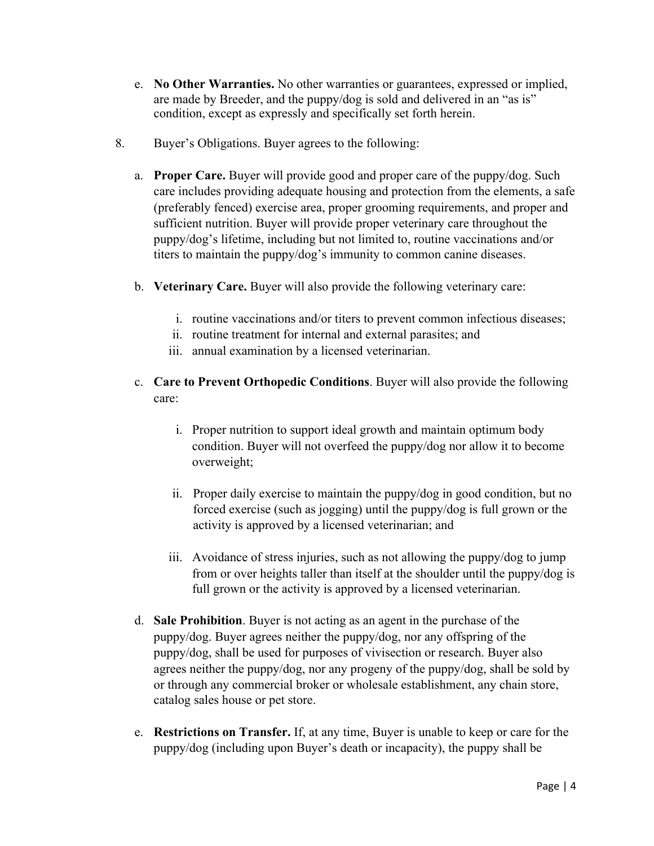- e. **No Other Warranties.** No other warranties or guarantees, expressed or implied, are made by Breeder, and the puppy/dog is sold and delivered in an "as is" condition, except as expressly and specifically set forth herein.
- 8. Buyer's Obligations. Buyer agrees to the following:
	- a. **Proper Care.** Buyer will provide good and proper care of the puppy/dog. Such care includes providing adequate housing and protection from the elements, a safe (preferably fenced) exercise area, proper grooming requirements, and proper and sufficient nutrition. Buyer will provide proper veterinary care throughout the puppy/dog's lifetime, including but not limited to, routine vaccinations and/or titers to maintain the puppy/dog's immunity to common canine diseases.
	- b. **Veterinary Care.** Buyer will also provide the following veterinary care:
		- i. routine vaccinations and/or titers to prevent common infectious diseases;
		- ii. routine treatment for internal and external parasites; and
		- iii. annual examination by a licensed veterinarian.
	- c. **Care to Prevent Orthopedic Conditions**. Buyer will also provide the following care:
		- i. Proper nutrition to support ideal growth and maintain optimum body condition. Buyer will not overfeed the puppy/dog nor allow it to become overweight;
		- ii. Proper daily exercise to maintain the puppy/dog in good condition, but no forced exercise (such as jogging) until the puppy/dog is full grown or the activity is approved by a licensed veterinarian; and
		- iii. Avoidance of stress injuries, such as not allowing the puppy/dog to jump from or over heights taller than itself at the shoulder until the puppy/dog is full grown or the activity is approved by a licensed veterinarian.
	- d. **Sale Prohibition**. Buyer is not acting as an agent in the purchase of the puppy/dog. Buyer agrees neither the puppy/dog, nor any offspring of the puppy/dog, shall be used for purposes of vivisection or research. Buyer also agrees neither the puppy/dog, nor any progeny of the puppy/dog, shall be sold by or through any commercial broker or wholesale establishment, any chain store, catalog sales house or pet store.
	- e. **Restrictions on Transfer.** If, at any time, Buyer is unable to keep or care for the puppy/dog (including upon Buyer's death or incapacity), the puppy shall be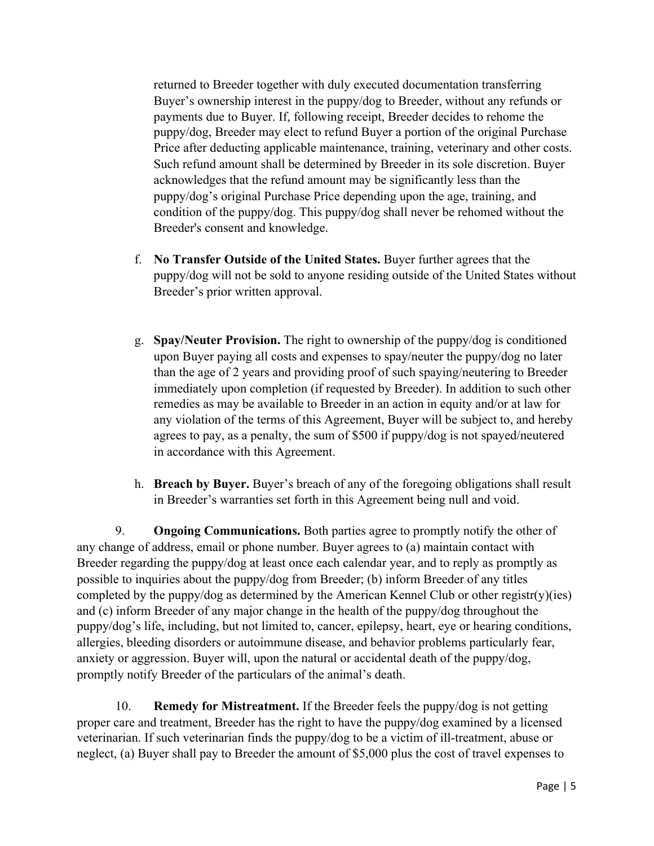returned to Breeder together with duly executed documentation transferring Buyer's ownership interest in the puppy/dog to Breeder, without any refunds or payments due to Buyer. If, following receipt, Breeder decides to rehome the puppy/dog, Breeder may elect to refund Buyer a portion of the original Purchase Price after deducting applicable maintenance, training, veterinary and other costs. Such refund amount shall be determined by Breeder in its sole discretion. Buyer acknowledges that the refund amount may be significantly less than the puppy/dog's original Purchase Price depending upon the age, training, and condition of the puppy/dog. This puppy/dog shall never be rehomed without the Breeder's consent and knowledge.

- f. **No Transfer Outside of the United States.** Buyer further agrees that the puppy/dog will not be sold to anyone residing outside of the United States without Breeder's prior written approval.
- g. **Spay/Neuter Provision.** The right to ownership of the puppy/dog is conditioned upon Buyer paying all costs and expenses to spay/neuter the puppy/dog no later than the age of 2 years and providing proof of such spaying/neutering to Breeder immediately upon completion (if requested by Breeder). In addition to such other remedies as may be available to Breeder in an action in equity and/or at law for any violation of the terms of this Agreement, Buyer will be subject to, and hereby agrees to pay, as a penalty, the sum of \$500 if puppy/dog is not spayed/neutered in accordance with this Agreement.
- h. **Breach by Buyer.** Buyer's breach of any of the foregoing obligations shall result in Breeder's warranties set forth in this Agreement being null and void.

9. **Ongoing Communications.** Both parties agree to promptly notify the other of any change of address, email or phone number. Buyer agrees to (a) maintain contact with Breeder regarding the puppy/dog at least once each calendar year, and to reply as promptly as possible to inquiries about the puppy/dog from Breeder; (b) inform Breeder of any titles completed by the puppy/dog as determined by the American Kennel Club or other registr(y)(ies) and (c) inform Breeder of any major change in the health of the puppy/dog throughout the puppy/dog's life, including, but not limited to, cancer, epilepsy, heart, eye or hearing conditions, allergies, bleeding disorders or autoimmune disease, and behavior problems particularly fear, anxiety or aggression. Buyer will, upon the natural or accidental death of the puppy/dog, promptly notify Breeder of the particulars of the animal's death.

10. **Remedy for Mistreatment.** If the Breeder feels the puppy/dog is not getting proper care and treatment, Breeder has the right to have the puppy/dog examined by a licensed veterinarian. If such veterinarian finds the puppy/dog to be a victim of ill-treatment, abuse or neglect, (a) Buyer shall pay to Breeder the amount of \$5,000 plus the cost of travel expenses to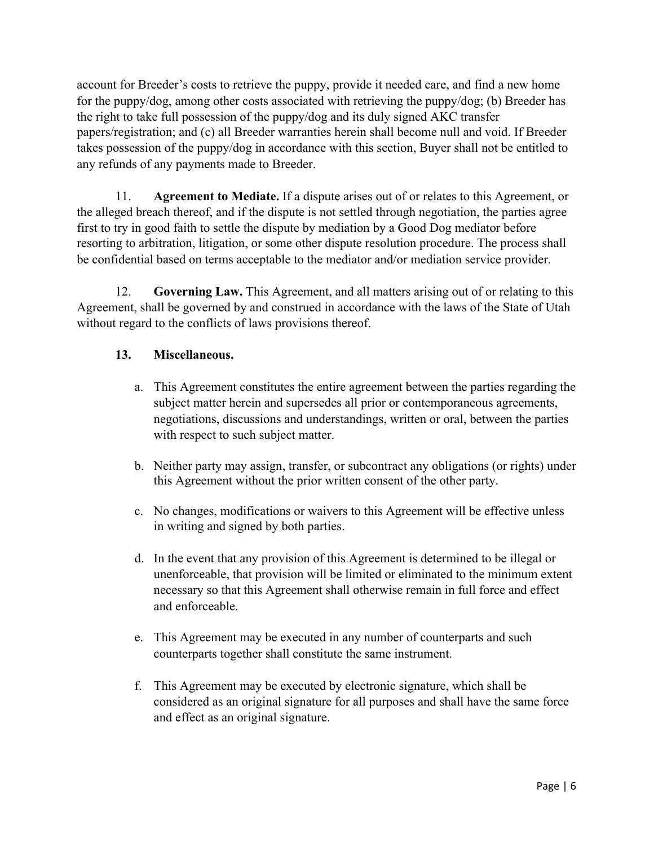account for Breeder's costs to retrieve the puppy, provide it needed care, and find a new home for the puppy/dog, among other costs associated with retrieving the puppy/dog; (b) Breeder has the right to take full possession of the puppy/dog and its duly signed AKC transfer papers/registration; and (c) all Breeder warranties herein shall become null and void. If Breeder takes possession of the puppy/dog in accordance with this section, Buyer shall not be entitled to any refunds of any payments made to Breeder.

11. **Agreement to Mediate.** If a dispute arises out of or relates to this Agreement, or the alleged breach thereof, and if the dispute is not settled through negotiation, the parties agree first to try in good faith to settle the dispute by mediation by a Good Dog mediator before resorting to arbitration, litigation, or some other dispute resolution procedure. The process shall be confidential based on terms acceptable to the mediator and/or mediation service provider.

12. **Governing Law.** This Agreement, and all matters arising out of or relating to this Agreement, shall be governed by and construed in accordance with the laws of the State of Utah without regard to the conflicts of laws provisions thereof.

## **13. Miscellaneous.**

- a. This Agreement constitutes the entire agreement between the parties regarding the subject matter herein and supersedes all prior or contemporaneous agreements, negotiations, discussions and understandings, written or oral, between the parties with respect to such subject matter.
- b. Neither party may assign, transfer, or subcontract any obligations (or rights) under this Agreement without the prior written consent of the other party.
- c. No changes, modifications or waivers to this Agreement will be effective unless in writing and signed by both parties.
- d. In the event that any provision of this Agreement is determined to be illegal or unenforceable, that provision will be limited or eliminated to the minimum extent necessary so that this Agreement shall otherwise remain in full force and effect and enforceable.
- e. This Agreement may be executed in any number of counterparts and such counterparts together shall constitute the same instrument.
- f. This Agreement may be executed by electronic signature, which shall be considered as an original signature for all purposes and shall have the same force and effect as an original signature.